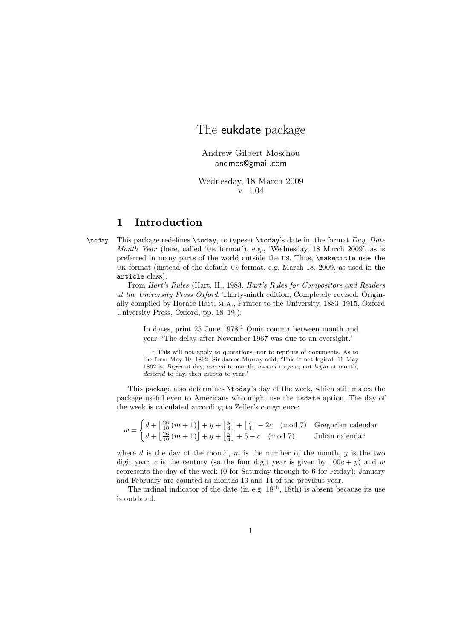# The eukdate package

Andrew Gilbert Moschou andmos@gmail.com

Wednesday, 18 March 2009 v. 1.04

## 1 Introduction

 $\cdot$  This package redefines  $\cdot$  today, to typeset  $\cdot$  today's date in, the format Day, Date Month Year (here, called 'uk format'), e.g., 'Wednesday, 18 March 2009', as is preferred in many parts of the world outside the us. Thus, \maketitle uses the uk format (instead of the default us format, e.g. March 18, 2009, as used in the article class).

From Hart's Rules (Hart, H., 1983. Hart's Rules for Compositors and Readers at the University Press Oxford, Thirty-ninth edition, Completely revised, Originally compiled by Horace Hart, m.a., Printer to the University, 1883–1915, Oxford University Press, Oxford, pp. 18–19.):

In dates, print  $25$  June  $1978<sup>1</sup>$  Omit comma between month and year: 'The delay after November 1967 was due to an oversight.'

This package also determines \today's day of the week, which still makes the package useful even to Americans who might use the usdate option. The day of the week is calculated according to Zeller's congruence:

 $w =$  $\int d + \left[\frac{26}{10}(m+1)\right] + y + \left[\frac{y}{4}\right] + \left[\frac{c}{4}\right] - 2c \pmod{7}$  Gregorian calendar  $d + \left\lfloor \frac{26}{10} (m+1) \right\rfloor + y + \left\lfloor \frac{y}{4} \right\rfloor + 5 - c \pmod{7}$  Julian calendar

where d is the day of the month, m is the number of the month,  $y$  is the two digit year, c is the century (so the four digit year is given by  $100c + y$ ) and w represents the day of the week (0 for Saturday through to 6 for Friday); January and February are counted as months 13 and 14 of the previous year.

The ordinal indicator of the date (in e.g.  $18<sup>th</sup>$ , 18th) is absent because its use is outdated.

 $<sup>1</sup>$  This will not apply to quotations, nor to reprints of documents. As to</sup> the form May 19, 1862, Sir James Murray said, 'This is not logical: 19 May 1862 is. Begin at day, ascend to month, ascend to year; not begin at month, descend to day, then ascend to year.'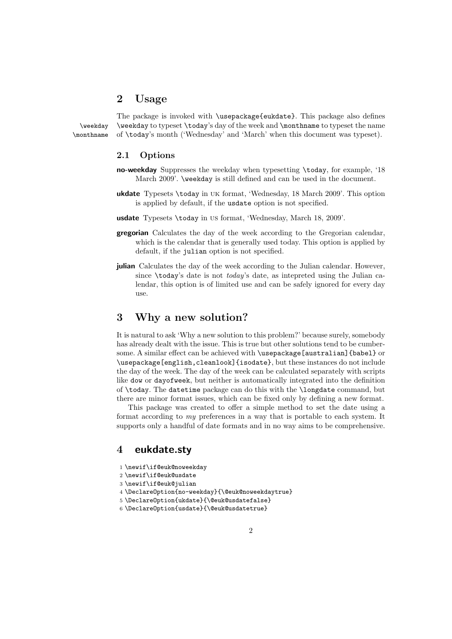### 2 Usage

The package is invoked with \usepackage{eukdate}. This package also defines \weekday \weekday to typeset \today's day of the week and \monthname to typeset the name \monthname of \today's month ('Wednesday' and 'March' when this document was typeset).

#### 2.1 Options

- no-weekday Suppresses the weekday when typesetting \today, for example, '18 March 2009'. \weekday is still defined and can be used in the document.
- ukdate Typesets \today in uk format, 'Wednesday, 18 March 2009'. This option is applied by default, if the usdate option is not specified.
- usdate Typesets \today in us format, 'Wednesday, March 18, 2009'.
- gregorian Calculates the day of the week according to the Gregorian calendar, which is the calendar that is generally used today. This option is applied by default, if the julian option is not specified.
- julian Calculates the day of the week according to the Julian calendar. However, since \today's date is not today's date, as intepreted using the Julian calendar, this option is of limited use and can be safely ignored for every day use.

#### 3 Why a new solution?

It is natural to ask 'Why a new solution to this problem?' because surely, somebody has already dealt with the issue. This is true but other solutions tend to be cumbersome. A similar effect can be achieved with \usepackage[australian]{babel} or \usepackage[english,cleanlook]{isodate}, but these instances do not include the day of the week. The day of the week can be calculated separately with scripts like dow or dayofweek, but neither is automatically integrated into the definition of \today. The datetime package can do this with the \longdate command, but there are minor format issues, which can be fixed only by defining a new format.

This package was created to offer a simple method to set the date using a format according to my preferences in a way that is portable to each system. It supports only a handful of date formats and in no way aims to be comprehensive.

#### 4 eukdate.sty

- 1 \newif\if@euk@noweekday
- 2 \newif\if@euk@usdate
- 3 \newif\if@euk@julian
- 4 \DeclareOption{no-weekday}{\@euk@noweekdaytrue}
- 5 \DeclareOption{ukdate}{\@euk@usdatefalse}
- 6 \DeclareOption{usdate}{\@euk@usdatetrue}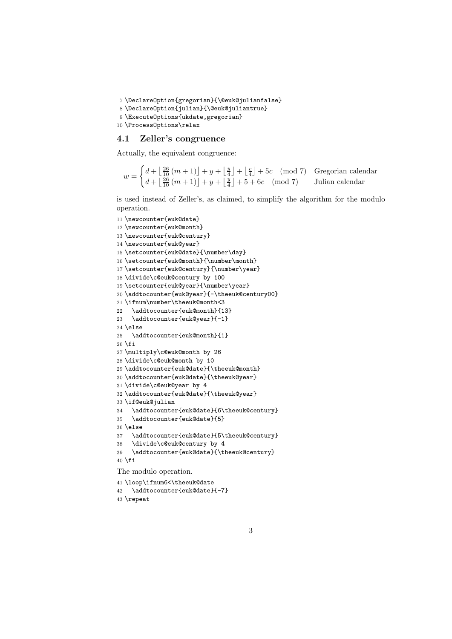```
7 \DeclareOption{gregorian}{\@euk@julianfalse}
```

```
8 \DeclareOption{julian}{\@euk@juliantrue}
```

```
9 \ExecuteOptions{ukdate,gregorian}
```

```
10 \ProcessOptions\relax
```
#### 4.1 Zeller's congruence

Actually, the equivalent congruence:

 $w =$  $\int d + \left\lfloor \frac{26}{10} (m+1) \right\rfloor + y + \left\lfloor \frac{y}{4} \right\rfloor + \left\lfloor \frac{c}{4} \right\rfloor + 5c \pmod{7}$  Gregorian calendar  $d + \left\lfloor \frac{26}{10} (m+1) \right\rfloor + y + \left\lfloor \frac{y}{4} \right\rfloor + 5 + 6c \pmod{7}$  Julian calendar

is used instead of Zeller's, as claimed, to simplify the algorithm for the modulo operation.

```
11 \newcounter{euk@date}
12 \newcounter{euk@month}
13 \newcounter{euk@century}
14 \newcounter{euk@year}
15 \setcounter{euk@date}{\number\day}
16 \setcounter{euk@month}{\number\month}
17 \setcounter{euk@century}{\number\year}
18 \divide\c@euk@century by 100
19 \setcounter{euk@year}{\number\year}
20 \addtocounter{euk@year}{-\theeuk@century00}
21 \ifnum\number\theeuk@month<3
22 \addtocounter{euk@month}{13}
23 \addtocounter{euk@year}{-1}
24 \else
25 \addtocounter{euk@month}{1}
26 \fi
27 \multiply\c@euk@month by 26
28 \divide\c@euk@month by 10
29 \addtocounter{euk@date}{\theeuk@month}
30 \addtocounter{euk@date}{\theeuk@year}
31 \divide\c@euk@year by 4
32 \addtocounter{euk@date}{\theeuk@year}
33 \if@euk@julian
34 \addtocounter{euk@date}{6\theeuk@century}
35 \addtocounter{euk@date}{5}
36 \else
37 \addtocounter{euk@date}{5\theeuk@century}
38 \divide\c@euk@century by 4
39 \addtocounter{euk@date}{\theeuk@century}
40 \setminus fiThe modulo operation.
```
 \loop\ifnum6<\theeuk@date \addtocounter{euk@date}{-7} \repeat